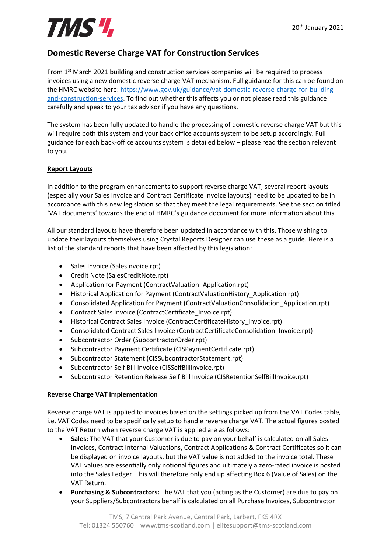## **Domestic Reverse Charge VAT for Construction Services**

From 1<sup>st</sup> March 2021 building and construction services companies will be required to process invoices using a new domestic reverse charge VAT mechanism. Full guidance for this can be found on the HMRC website here: [https://www.gov.uk/guidance/vat-domestic-reverse-charge-for-building](https://www.gov.uk/guidance/vat-domestic-reverse-charge-for-building-and-construction-services)[and-construction-services.](https://www.gov.uk/guidance/vat-domestic-reverse-charge-for-building-and-construction-services) To find out whether this affects you or not please read this guidance carefully and speak to your tax advisor if you have any questions.

The system has been fully updated to handle the processing of domestic reverse charge VAT but this will require both this system and your back office accounts system to be setup accordingly. Full guidance for each back-office accounts system is detailed below – please read the section relevant to you.

### **Report Layouts**

In addition to the program enhancements to support reverse charge VAT, several report layouts (especially your Sales Invoice and Contract Certificate Invoice layouts) need to be updated to be in accordance with this new legislation so that they meet the legal requirements. See the section titled 'VAT documents' towards the end of HMRC's guidance document for more information about this.

All our standard layouts have therefore been updated in accordance with this. Those wishing to update their layouts themselves using Crystal Reports Designer can use these as a guide. Here is a list of the standard reports that have been affected by this legislation:

- Sales Invoice (SalesInvoice.rpt)
- Credit Note (SalesCreditNote.rpt)
- Application for Payment (ContractValuation Application.rpt)
- Historical Application for Payment (ContractValuationHistory\_Application.rpt)
- Consolidated Application for Payment (ContractValuationConsolidation Application.rpt)
- Contract Sales Invoice (ContractCertificate Invoice.rpt)
- Historical Contract Sales Invoice (ContractCertificateHistory Invoice.rpt)
- Consolidated Contract Sales Invoice (ContractCertificateConsolidation Invoice.rpt)
- Subcontractor Order (SubcontractorOrder.rpt)
- Subcontractor Payment Certificate (CISPaymentCertificate.rpt)
- Subcontractor Statement (CISSubcontractorStatement.rpt)
- Subcontractor Self Bill Invoice (CISSelfBillInvoice.rpt)
- Subcontractor Retention Release Self Bill Invoice (CISRetentionSelfBillInvoice.rpt)

### **Reverse Charge VAT Implementation**

Reverse charge VAT is applied to invoices based on the settings picked up from the VAT Codes table, i.e. VAT Codes need to be specifically setup to handle reverse charge VAT. The actual figures posted to the VAT Return when reverse charge VAT is applied are as follows:

- **Sales:** The VAT that your Customer is due to pay on your behalf is calculated on all Sales Invoices, Contract Internal Valuations, Contract Applications & Contract Certificates so it can be displayed on invoice layouts, but the VAT value is not added to the invoice total. These VAT values are essentially only notional figures and ultimately a zero-rated invoice is posted into the Sales Ledger. This will therefore only end up affecting Box 6 (Value of Sales) on the VAT Return.
- **Purchasing & Subcontractors:** The VAT that you (acting as the Customer) are due to pay on your Suppliers/Subcontractors behalf is calculated on all Purchase Invoices, Subcontractor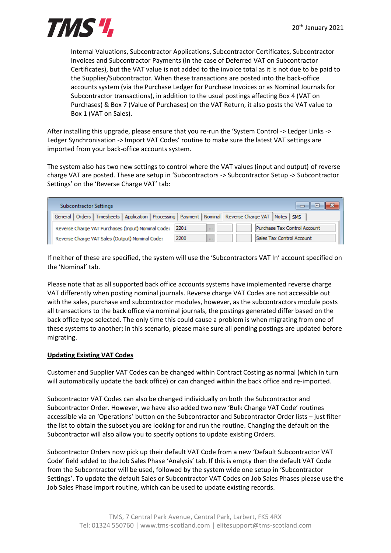

Internal Valuations, Subcontractor Applications, Subcontractor Certificates, Subcontractor Invoices and Subcontractor Payments (in the case of Deferred VAT on Subcontractor Certificates), but the VAT value is not added to the invoice total as it is not due to be paid to the Supplier/Subcontractor. When these transactions are posted into the back-office accounts system (via the Purchase Ledger for Purchase Invoices or as Nominal Journals for Subcontractor transactions), in addition to the usual postings affecting Box 4 (VAT on Purchases) & Box 7 (Value of Purchases) on the VAT Return, it also posts the VAT value to Box 1 (VAT on Sales).

After installing this upgrade, please ensure that you re-run the 'System Control -> Ledger Links -> Ledger Synchronisation -> Import VAT Codes' routine to make sure the latest VAT settings are imported from your back-office accounts system.

The system also has two new settings to control where the VAT values (input and output) of reverse charge VAT are posted. These are setup in 'Subcontractors -> Subcontractor Setup -> Subcontractor Settings' on the 'Reverse Charge VAT' tab:

| <b>Subcontractor Settings</b>                      | e                                                                                                             |
|----------------------------------------------------|---------------------------------------------------------------------------------------------------------------|
|                                                    | General   Orders   Timesheets   Application   Processing   Payment   Nominal Reverse Charge VAT   Notes   SMS |
| Reverse Charge VAT Purchases (Input) Nominal Code: | Purchase Tax Control Account<br>2201                                                                          |
| Reverse Charge VAT Sales (Output) Nominal Code:    | Sales Tax Control Account<br>2200<br>1.1.1                                                                    |

If neither of these are specified, the system will use the 'Subcontractors VAT In' account specified on the 'Nominal' tab.

Please note that as all supported back office accounts systems have implemented reverse charge VAT differently when posting nominal journals. Reverse charge VAT Codes are not accessible out with the sales, purchase and subcontractor modules, however, as the subcontractors module posts all transactions to the back office via nominal journals, the postings generated differ based on the back office type selected. The only time this could cause a problem is when migrating from one of these systems to another; in this scenario, please make sure all pending postings are updated before migrating.

#### **Updating Existing VAT Codes**

Customer and Supplier VAT Codes can be changed within Contract Costing as normal (which in turn will automatically update the back office) or can changed within the back office and re-imported.

Subcontractor VAT Codes can also be changed individually on both the Subcontractor and Subcontractor Order. However, we have also added two new 'Bulk Change VAT Code' routines accessible via an 'Operations' button on the Subcontractor and Subcontractor Order lists – just filter the list to obtain the subset you are looking for and run the routine. Changing the default on the Subcontractor will also allow you to specify options to update existing Orders.

Subcontractor Orders now pick up their default VAT Code from a new 'Default Subcontractor VAT Code' field added to the Job Sales Phase 'Analysis' tab. If this is empty then the default VAT Code from the Subcontractor will be used, followed by the system wide one setup in 'Subcontractor Settings'. To update the default Sales or Subcontractor VAT Codes on Job Sales Phases please use the Job Sales Phase import routine, which can be used to update existing records.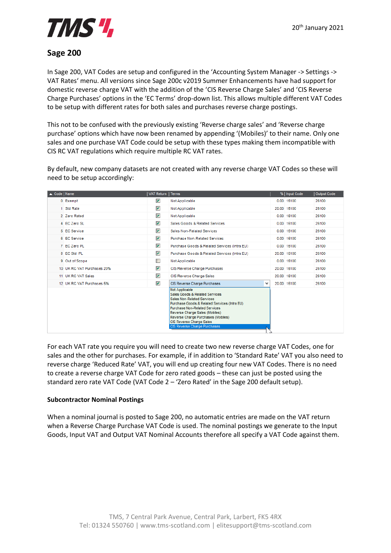

## **Sage 200**

In Sage 200, VAT Codes are setup and configured in the 'Accounting System Manager -> Settings -> VAT Rates' menu. All versions since Sage 200c v2019 Summer Enhancements have had support for domestic reverse charge VAT with the addition of the 'CIS Reverse Charge Sales' and 'CIS Reverse Charge Purchases' options in the 'EC Terms' drop-down list. This allows multiple different VAT Codes to be setup with different rates for both sales and purchases reverse charge postings.

This not to be confused with the previously existing 'Reverse charge sales' and 'Reverse charge purchase' options which have now been renamed by appending '(Mobiles)' to their name. Only one sales and one purchase VAT Code could be setup with these types making them incompatible with CIS RC VAT regulations which require multiple RC VAT rates.

By default, new company datasets are not created with any reverse charge VAT Codes so these will need to be setup accordingly:

| ▲ Code   Name |                            | <b>VAT Return</b>       | <b>Terms</b>                                                                                                                                                                                                                                                                                               | %   Input Code | Output Code |
|---------------|----------------------------|-------------------------|------------------------------------------------------------------------------------------------------------------------------------------------------------------------------------------------------------------------------------------------------------------------------------------------------------|----------------|-------------|
|               | 0 Exempt                   | $\blacktriangledown$    | Not Applicable                                                                                                                                                                                                                                                                                             | 0.00 15100     | 26100       |
|               | 1 Std Rate                 | $\blacktriangledown$    | Not Applicable                                                                                                                                                                                                                                                                                             | 20.00 15100    | 26100       |
|               | 2 Zero Rated               | $\blacktriangledown$    | Not Applicable                                                                                                                                                                                                                                                                                             | 0.00 15100     | 26100       |
|               | 4 EC Zero SL               | $\overline{\mathbf{v}}$ | Sales Goods & Related Services                                                                                                                                                                                                                                                                             | 0.00 15100     | 26100       |
|               | 5 EC Service               | $\blacktriangledown$    | Sales Non-Related Services                                                                                                                                                                                                                                                                                 | 0.00 15100     | 26100       |
|               | 6 EC Service               | $\blacktriangledown$    | <b>Purchase Non-Related Services</b>                                                                                                                                                                                                                                                                       | 0.00 15100     | 26100       |
|               | 7 EC Zero PL               | $\blacktriangledown$    | Purchase Goods & Related Services (Intra EU)                                                                                                                                                                                                                                                               | 0.00 15100     | 26100       |
|               | 8 EC Std PL                | $\blacktriangledown$    | Purchase Goods & Related Services (Intra EU)                                                                                                                                                                                                                                                               | 20.00 15100    | 26100       |
|               | 9 Out of Scope             | П                       | Not Applicable                                                                                                                                                                                                                                                                                             | 0.00 15100     | 26100       |
|               | 10 UK RC VAT Purchases 20% | $\blacktriangledown$    | CIS Reverse Charge Purchases                                                                                                                                                                                                                                                                               | 20.00 15100    | 26100       |
|               | 11 UK RC VAT Sales         | $\blacktriangledown$    | CIS Reverse Charge Sales                                                                                                                                                                                                                                                                                   | 20.00 15100    | 26100       |
|               | 12 UK RC VAT Purchases 5%  | $\blacktriangledown$    | CIS Reverse Charge Purchases<br>$\checkmark$                                                                                                                                                                                                                                                               | 20.00 15100    | 26100       |
|               |                            |                         | Not Applicable<br>Sales Goods & Related Services<br>Sales Non-Related Services<br>Purchase Goods & Related Services (Intra EU)<br><b>Purchase Non-Related Services</b><br>Reverse Charge Sales (Mobiles)<br>Reverse Charge Purchases (Mobiles)<br>CIS Reverse Charge Sales<br>CIS Reverse Charge Purchases |                |             |

For each VAT rate you require you will need to create two new reverse charge VAT Codes, one for sales and the other for purchases. For example, if in addition to 'Standard Rate' VAT you also need to reverse charge 'Reduced Rate' VAT, you will end up creating four new VAT Codes. There is no need to create a reverse charge VAT Code for zero rated goods – these can just be posted using the standard zero rate VAT Code (VAT Code 2 – 'Zero Rated' in the Sage 200 default setup).

#### **Subcontractor Nominal Postings**

When a nominal journal is posted to Sage 200, no automatic entries are made on the VAT return when a Reverse Charge Purchase VAT Code is used. The nominal postings we generate to the Input Goods, Input VAT and Output VAT Nominal Accounts therefore all specify a VAT Code against them.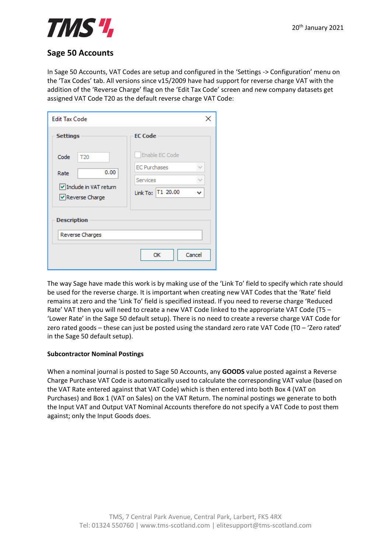

## **Sage 50 Accounts**

In Sage 50 Accounts, VAT Codes are setup and configured in the 'Settings -> Configuration' menu on the 'Tax Codes' tab. All versions since v15/2009 have had support for reverse charge VAT with the addition of the 'Reverse Charge' flag on the 'Edit Tax Code' screen and new company datasets get assigned VAT Code T20 as the default reverse charge VAT Code:

| <b>Edit Tax Code</b>                                                               |                                                                               |  |  |  |  |  |
|------------------------------------------------------------------------------------|-------------------------------------------------------------------------------|--|--|--|--|--|
| <b>Settings</b>                                                                    | <b>EC Code</b>                                                                |  |  |  |  |  |
| Code<br>T <sub>20</sub><br>0.00<br>Rate<br>Include in VAT return<br>Reverse Charge | Enable EC Code<br><b>EC Purchases</b><br><b>Services</b><br>Link To: T1 20.00 |  |  |  |  |  |
| <b>Description</b>                                                                 |                                                                               |  |  |  |  |  |
| Reverse Charges                                                                    |                                                                               |  |  |  |  |  |
|                                                                                    | Cancel<br>ОК                                                                  |  |  |  |  |  |

The way Sage have made this work is by making use of the 'Link To' field to specify which rate should be used for the reverse charge. It is important when creating new VAT Codes that the 'Rate' field remains at zero and the 'Link To' field is specified instead. If you need to reverse charge 'Reduced Rate' VAT then you will need to create a new VAT Code linked to the appropriate VAT Code (T5 – 'Lower Rate' in the Sage 50 default setup). There is no need to create a reverse charge VAT Code for zero rated goods – these can just be posted using the standard zero rate VAT Code (T0 – 'Zero rated' in the Sage 50 default setup).

#### **Subcontractor Nominal Postings**

When a nominal journal is posted to Sage 50 Accounts, any **GOODS** value posted against a Reverse Charge Purchase VAT Code is automatically used to calculate the corresponding VAT value (based on the VAT Rate entered against that VAT Code) which is then entered into both Box 4 (VAT on Purchases) and Box 1 (VAT on Sales) on the VAT Return. The nominal postings we generate to both the Input VAT and Output VAT Nominal Accounts therefore do not specify a VAT Code to post them against; only the Input Goods does.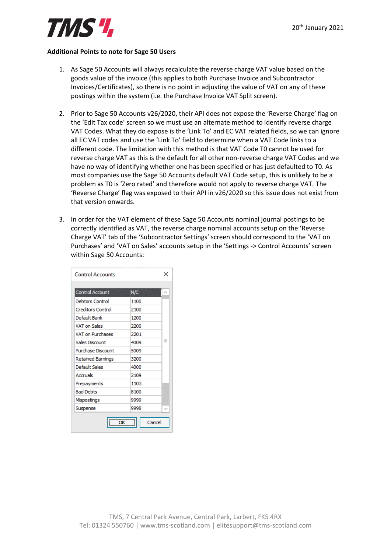#### **Additional Points to note for Sage 50 Users**

- 1. As Sage 50 Accounts will always recalculate the reverse charge VAT value based on the goods value of the invoice (this applies to both Purchase Invoice and Subcontractor Invoices/Certificates), so there is no point in adjusting the value of VAT on any of these postings within the system (i.e. the Purchase Invoice VAT Split screen).
- 2. Prior to Sage 50 Accounts v26/2020, their API does not expose the 'Reverse Charge' flag on the 'Edit Tax code' screen so we must use an alternate method to identify reverse charge VAT Codes. What they do expose is the 'Link To' and EC VAT related fields, so we can ignore all EC VAT codes and use the 'Link To' field to determine when a VAT Code links to a different code. The limitation with this method is that VAT Code T0 cannot be used for reverse charge VAT as this is the default for all other non-reverse charge VAT Codes and we have no way of identifying whether one has been specified or has just defaulted to T0. As most companies use the Sage 50 Accounts default VAT Code setup, this is unlikely to be a problem as T0 is 'Zero rated' and therefore would not apply to reverse charge VAT. The 'Reverse Charge' flag was exposed to their API in v26/2020 so this issue does not exist from that version onwards.
- 3. In order for the VAT element of these Sage 50 Accounts nominal journal postings to be correctly identified as VAT, the reverse charge nominal accounts setup on the 'Reverse Charge VAT' tab of the 'Subcontractor Settings' screen should correspond to the 'VAT on Purchases' and 'VAT on Sales' accounts setup in the 'Settings -> Control Accounts' screen within Sage 50 Accounts:

| <b>Control Accounts</b>  |           |
|--------------------------|-----------|
|                          |           |
| <b>Control Account</b>   | N/C       |
| Debtors Control          | 1100      |
| <b>Creditors Control</b> | 2100      |
| Default Bank             | 1200      |
| <b>VAT on Sales</b>      | 2200      |
| <b>VAT on Purchases</b>  | 2201      |
| Sales Discount           | ≡<br>4009 |
| Purchase Discount        | 5009      |
| <b>Retained Earnings</b> | 3200      |
| Default Sales            | 4000      |
| Accruals                 | 2109      |
| Prepayments              | 1103      |
| <b>Bad Debts</b>         | 8100      |
| Mispostings              | 9999      |
| Suspense                 | 9998<br>w |
| $\overline{\phantom{a}}$ | Cancel    |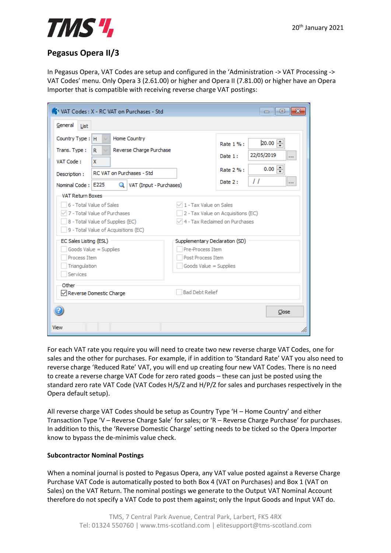## **Pegasus Opera II/3**

In Pegasus Opera, VAT Codes are setup and configured in the 'Administration -> VAT Processing -> VAT Codes' menu. Only Opera 3 (2.61.00) or higher and Opera II (7.81.00) or higher have an Opera Importer that is compatible with receiving reverse charge VAT postings:

| VAT Codes: X - RC VAT on Purchases - Std<br>$\Box$ 0<br>x                                                                                                                                                            |                                                                                                                                    |  |  |  |  |  |  |
|----------------------------------------------------------------------------------------------------------------------------------------------------------------------------------------------------------------------|------------------------------------------------------------------------------------------------------------------------------------|--|--|--|--|--|--|
| General<br>List                                                                                                                                                                                                      |                                                                                                                                    |  |  |  |  |  |  |
| Country Type: H<br>Home Country<br>Reverse Charge Purchase<br>Trans. Type:<br>R.<br>$\checkmark$<br>VAT Code:<br>X<br>RC VAT on Purchases - Std<br>Description:<br>Q   VAT (Input - Purchases)<br>Nominal Code: E225 | $20.00$ $\Box$<br>Rate 1%:<br>22/05/2019<br>Date 1:<br>$\cdots$<br>$0.00$ $\Rightarrow$<br>Rate 2 % :<br>11<br>Date 2:<br>$\cdots$ |  |  |  |  |  |  |
| <b>VAT Return Boxes</b><br>6 - Total Value of Sales<br>7 - Total Value of Purchases<br>8 - Total Value of Supplies (EC)<br>9 - Total Value of Acquisitions (EC)                                                      | 1 - Tax Value on Sales<br>2 - Tax Value on Acquisitions (EC)<br>4 - Tax Reclaimed on Purchases                                     |  |  |  |  |  |  |
| EC Sales Listing (ESL)<br>Goods Value = Supplies<br>Process Item<br>Triangulation<br>Services                                                                                                                        | Supplementary Declaration (SD)<br>Pre-Process Item<br><b>Post Process Item</b><br>Goods Value = Supplies                           |  |  |  |  |  |  |
| Other<br>Reverse Domestic Charge                                                                                                                                                                                     | <b>Bad Debt Relief</b><br>Close                                                                                                    |  |  |  |  |  |  |
| View                                                                                                                                                                                                                 | /i.                                                                                                                                |  |  |  |  |  |  |

For each VAT rate you require you will need to create two new reverse charge VAT Codes, one for sales and the other for purchases. For example, if in addition to 'Standard Rate' VAT you also need to reverse charge 'Reduced Rate' VAT, you will end up creating four new VAT Codes. There is no need to create a reverse charge VAT Code for zero rated goods – these can just be posted using the standard zero rate VAT Code (VAT Codes H/S/Z and H/P/Z for sales and purchases respectively in the Opera default setup).

All reverse charge VAT Codes should be setup as Country Type 'H – Home Country' and either Transaction Type 'V – Reverse Charge Sale' for sales; or 'R – Reverse Charge Purchase' for purchases. In addition to this, the 'Reverse Domestic Charge' setting needs to be ticked so the Opera Importer know to bypass the de-minimis value check.

### **Subcontractor Nominal Postings**

When a nominal journal is posted to Pegasus Opera, any VAT value posted against a Reverse Charge Purchase VAT Code is automatically posted to both Box 4 (VAT on Purchases) and Box 1 (VAT on Sales) on the VAT Return. The nominal postings we generate to the Output VAT Nominal Account therefore do not specify a VAT Code to post them against; only the Input Goods and Input VAT do.